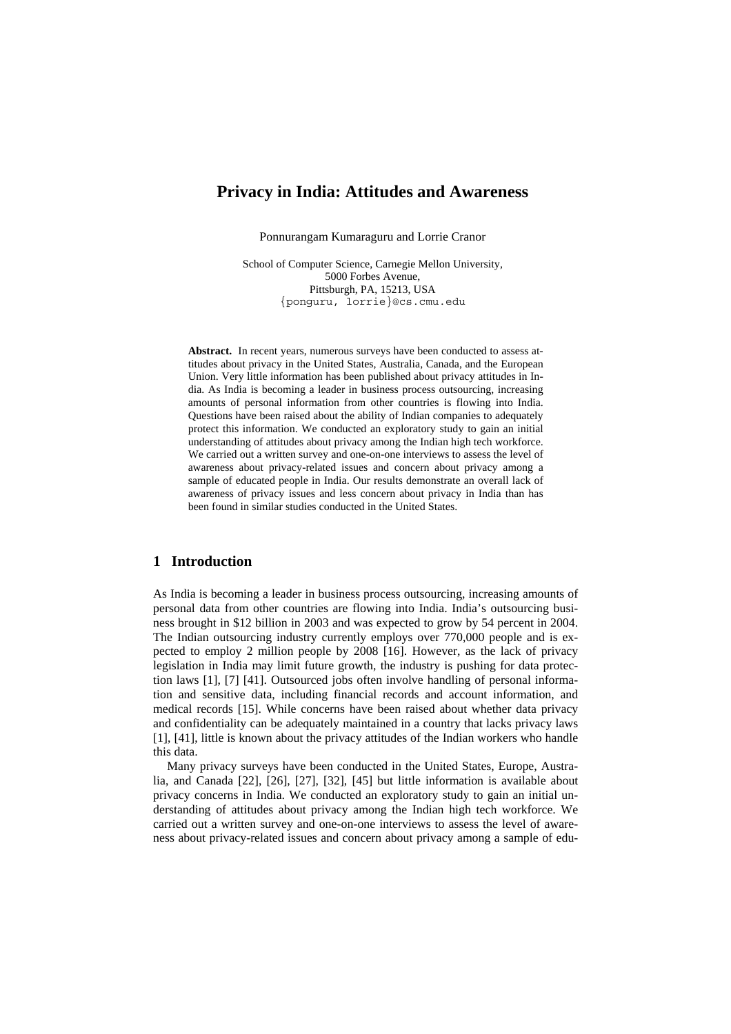# **Privacy in India: Attitudes and Awareness**

Ponnurangam Kumaraguru and Lorrie Cranor

School of Computer Science, Carnegie Mellon University, 5000 Forbes Avenue, Pittsburgh, PA, 15213, USA {ponguru, lorrie}@cs.cmu.edu

**Abstract.** In recent years, numerous surveys have been conducted to assess attitudes about privacy in the United States, Australia, Canada, and the European Union. Very little information has been published about privacy attitudes in India. As India is becoming a leader in business process outsourcing, increasing amounts of personal information from other countries is flowing into India. Questions have been raised about the ability of Indian companies to adequately protect this information. We conducted an exploratory study to gain an initial understanding of attitudes about privacy among the Indian high tech workforce. We carried out a written survey and one-on-one interviews to assess the level of awareness about privacy-related issues and concern about privacy among a sample of educated people in India. Our results demonstrate an overall lack of awareness of privacy issues and less concern about privacy in India than has been found in similar studies conducted in the United States.

# **1 Introduction**

As India is becoming a leader in business process outsourcing, increasing amounts of personal data from other countries are flowing into India. India's outsourcing business brought in \$12 billion in 2003 and was expected to grow by 54 percent in 2004. The Indian outsourcing industry currently employs over 770,000 people and is expected to employ 2 million people by 2008 [\[16\]](#page-15-0). However, as the lack of privacy legislation in India may limit future growth, the industry is pushing for data protection laws [\[1\]](#page-14-0), [\[7\]](#page-14-1) [\[41\]](#page-16-0). Outsourced jobs often involve handling of personal information and sensitive data, including financial records and account information, and medical records [[15\]](#page-15-1). While concerns have been raised about whether data privacy and confidentiality can be adequately maintained in a country that lacks privacy laws [\[1\]](#page-14-0), [\[41\]](#page-16-0), little is known about the privacy attitudes of the Indian workers who handle this data.

Many privacy surveys have been conducted in the United States, Europe, Australia, and Canada [\[22\]](#page-15-2), [\[26\]](#page-15-3), [\[27\]](#page-15-4), [\[32\]](#page-15-5), [[45\]](#page-16-1) but little information is available about privacy concerns in India. We conducted an exploratory study to gain an initial understanding of attitudes about privacy among the Indian high tech workforce. We carried out a written survey and one-on-one interviews to assess the level of awareness about privacy-related issues and concern about privacy among a sample of edu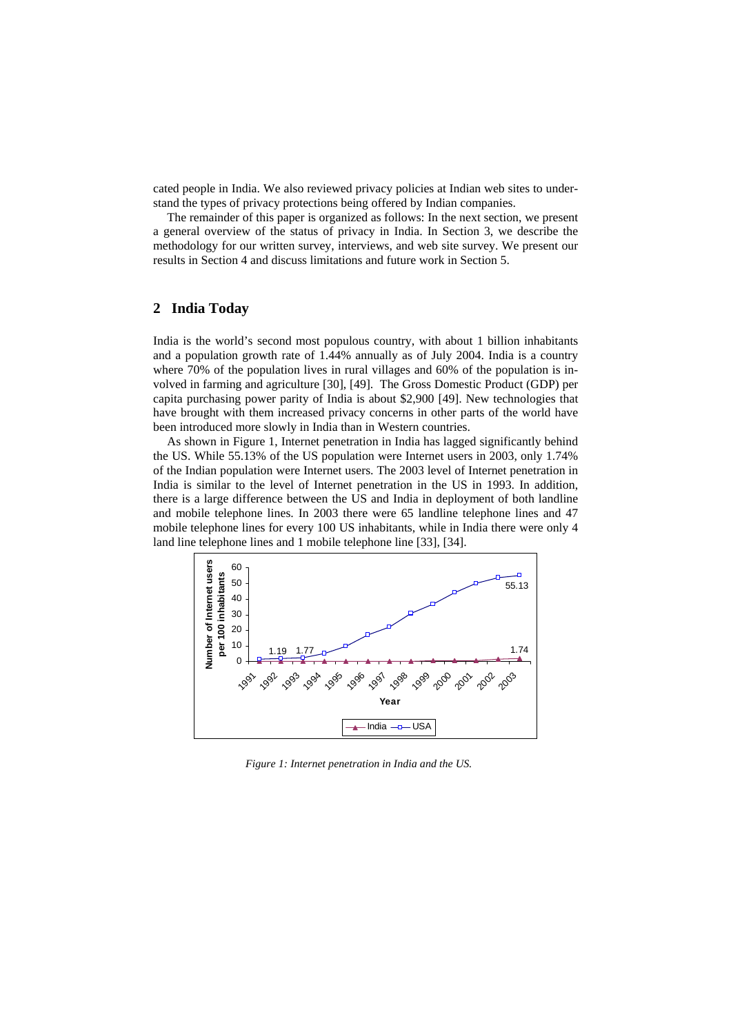cated people in India. We also reviewed privacy policies at Indian web sites to understand the types of privacy protections being offered by Indian companies.

The remainder of this paper is organized as follows: In the next section, we present a general overview of the status of privacy in India. In Section 3, we describe the methodology for our written survey, interviews, and web site survey. We present our results in Section 4 and discuss limitations and future work in Section 5.

# **2 India Today**

India is the world's second most populous country, with about 1 billion inhabitants and a population growth rate of 1.44% annually as of July 2004. India is a country where 70% of the population lives in rural villages and 60% of the population is involved in farming and agriculture [\[30\]](#page-15-6), [\[49\]](#page-16-2). The Gross Domestic Product (GDP) per capita purchasing power parity of India is about \$2,900 [\[49\]](#page-16-2). New technologies that have brought with them increased privacy concerns in other parts of the world have been introduced more slowly in India than in Western countries.

As shown in Figure 1, Internet penetration in India has lagged significantly behind the US. While 55.13% of the US population were Internet users in 2003, only 1.74% of the Indian population were Internet users. The 2003 level of Internet penetration in India is similar to the level of Internet penetration in the US in 1993. In addition, there is a large difference between the US and India in deployment of both landline and mobile telephone lines. In 2003 there were 65 landline telephone lines and 47 mobile telephone lines for every 100 US inhabitants, while in India there were only 4 land line telephone lines and 1 mobile telephone line [\[33\]](#page-15-7), [\[34\]](#page-15-8).



*Figure 1: Internet penetration in India and the US.*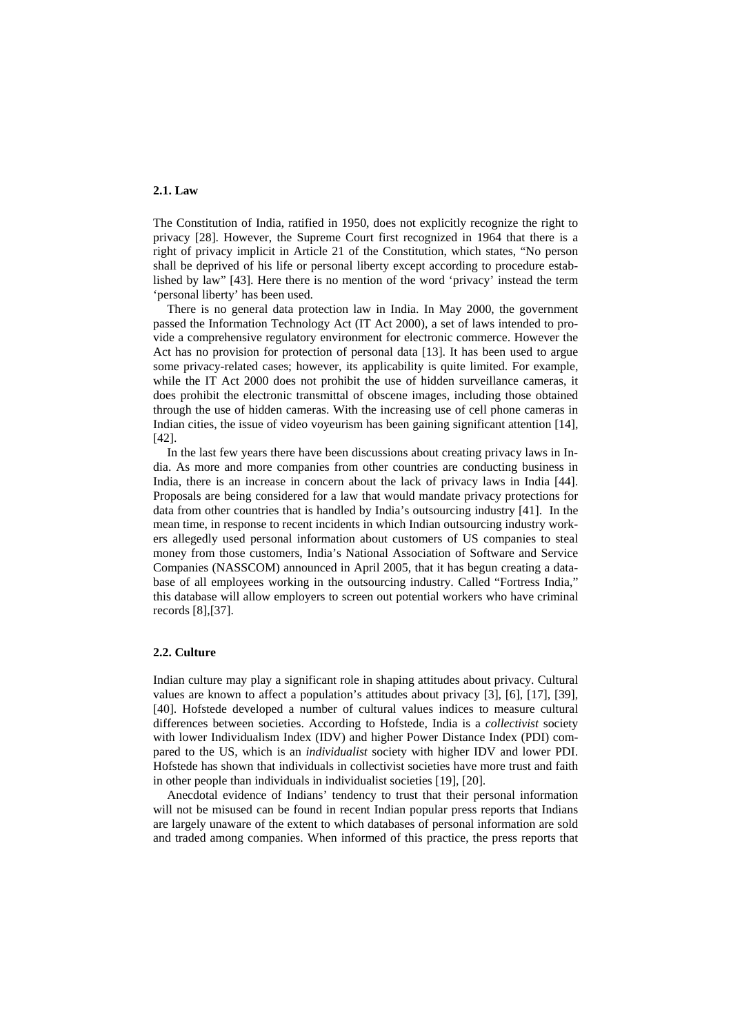#### **2.1. Law**

The Constitution of India, ratified in 1950, does not explicitly recognize the right to privacy [\[28\]](#page-15-9). However, the Supreme Court first recognized in 1964 that there is a right of privacy implicit in Article 21 of the Constitution, which states, "No person shall be deprived of his life or personal liberty except according to procedure established by law" [\[43\]](#page-16-3). Here there is no mention of the word 'privacy' instead the term 'personal liberty' has been used.

There is no general data protection law in India. In May 2000, the government passed the Information Technology Act (IT Act 2000), a set of laws intended to provide a comprehensive regulatory environment for electronic commerce. However the Act has no provision for protection of personal data [[13\]](#page-14-2). It has been used to argue some privacy-related cases; however, its applicability is quite limited. For example, while the IT Act 2000 does not prohibit the use of hidden surveillance cameras, it does prohibit the electronic transmittal of obscene images, including those obtained through the use of hidden cameras. With the increasing use of cell phone cameras in Indian cities, the issue of video voyeurism has been gaining significant attention [[14\]](#page-14-3), [\[42\]](#page-16-4).

In the last few years there have been discussions about creating privacy laws in India. As more and more companies from other countries are conducting business in India, there is an increase in concern about the lack of privacy laws in India [[44\]](#page-16-5). Proposals are being considered for a law that would mandate privacy protections for data from other countries that is handled by India's outsourcing industry [\[41\]](#page-16-0). In the mean time, in response to recent incidents in which Indian outsourcing industry workers allegedly used personal information about customers of US companies to steal money from those customers, India's National Association of Software and Service Companies (NASSCOM) announced in April 2005, that it has begun creating a database of all employees working in the outsourcing industry. Called "Fortress India," this database will allow employers to screen out potential workers who have criminal records [\[8\]](#page-14-4),[\[37\]](#page-16-6).

## **2.2. Culture**

Indian culture may play a significant role in shaping attitudes about privacy. Cultural values are known to affect a population's attitudes about privacy [\[3\]](#page-14-5), [\[6\]](#page-14-6), [\[17\]](#page-15-10), [[39\]](#page-16-7), [\[40\]](#page-16-8). Hofstede developed a number of cultural values indices to measure cultural differences between societies. According to Hofstede, India is a *collectivist* society with lower Individualism Index (IDV) and higher Power Distance Index (PDI) compared to the US, which is an *individualist* society with higher IDV and lower PDI. Hofstede has shown that individuals in collectivist societies have more trust and faith in other people than individuals in individualist societies [[19\]](#page-15-11), [\[20\]](#page-15-12).

Anecdotal evidence of Indians' tendency to trust that their personal information will not be misused can be found in recent Indian popular press reports that Indians are largely unaware of the extent to which databases of personal information are sold and traded among companies. When informed of this practice, the press reports that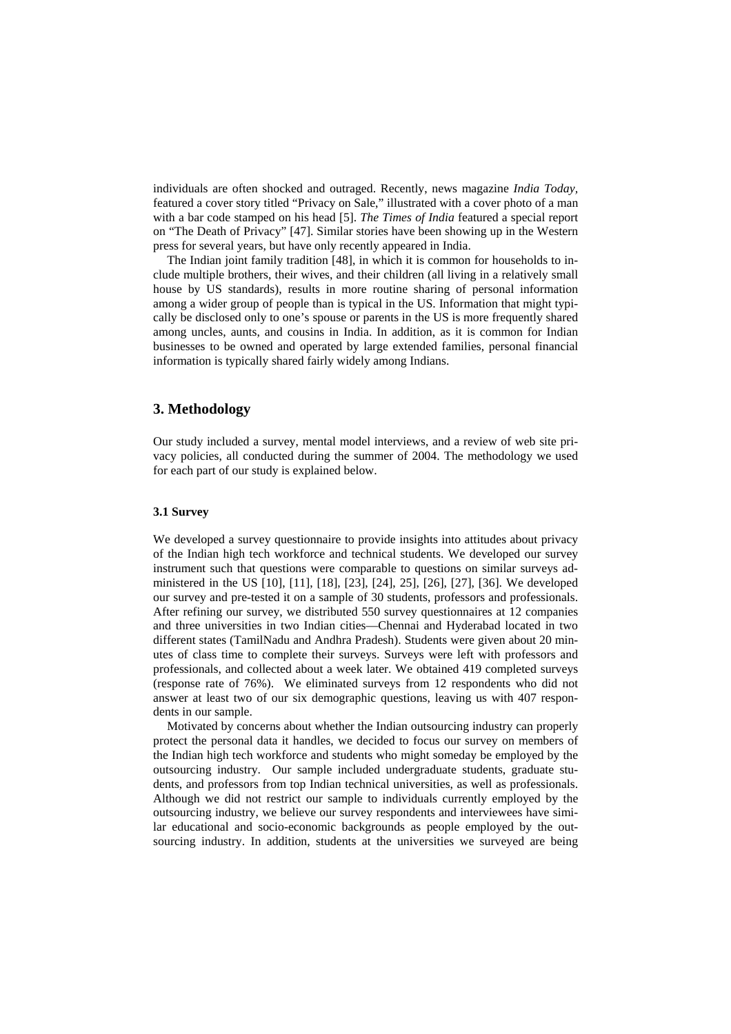individuals are often shocked and outraged. Recently, news magazine *India Today,* featured a cover story titled "Privacy on Sale," illustrated with a cover photo of a man with a bar code stamped on his head [[5\]](#page-14-7). *The Times of India* featured a special report on "The Death of Privacy" [\[47\]](#page-16-9). Similar stories have been showing up in the Western press for several years, but have only recently appeared in India.

The Indian joint family tradition [\[48\]](#page-16-10), in which it is common for households to include multiple brothers, their wives, and their children (all living in a relatively small house by US standards), results in more routine sharing of personal information among a wider group of people than is typical in the US. Information that might typically be disclosed only to one's spouse or parents in the US is more frequently shared among uncles, aunts, and cousins in India. In addition, as it is common for Indian businesses to be owned and operated by large extended families, personal financial information is typically shared fairly widely among Indians.

## **3. Methodology**

Our study included a survey, mental model interviews, and a review of web site privacy policies, all conducted during the summer of 2004. The methodology we used for each part of our study is explained below.

#### **3.1 Survey**

We developed a survey questionnaire to provide insights into attitudes about privacy of the Indian high tech workforce and technical students. We developed our survey instrument such that questions were comparable to questions on similar surveys administered in the US [\[10\]](#page-14-8), [[11\]](#page-14-9), [\[18\]](#page-15-13), [[23\]](#page-15-14), [\[24\]](#page-15-15), [25\]](#page-15-16), [\[26\]](#page-15-3), [\[27\]](#page-15-4), [\[36\]](#page-15-17). We developed our survey and pre-tested it on a sample of 30 students, professors and professionals. After refining our survey, we distributed 550 survey questionnaires at 12 companies and three universities in two Indian cities—Chennai and Hyderabad located in two different states (TamilNadu and Andhra Pradesh). Students were given about 20 minutes of class time to complete their surveys. Surveys were left with professors and professionals, and collected about a week later. We obtained 419 completed surveys (response rate of 76%). We eliminated surveys from 12 respondents who did not answer at least two of our six demographic questions, leaving us with 407 respondents in our sample.

Motivated by concerns about whether the Indian outsourcing industry can properly protect the personal data it handles, we decided to focus our survey on members of the Indian high tech workforce and students who might someday be employed by the outsourcing industry. Our sample included undergraduate students, graduate students, and professors from top Indian technical universities, as well as professionals. Although we did not restrict our sample to individuals currently employed by the outsourcing industry, we believe our survey respondents and interviewees have similar educational and socio-economic backgrounds as people employed by the outsourcing industry. In addition, students at the universities we surveyed are being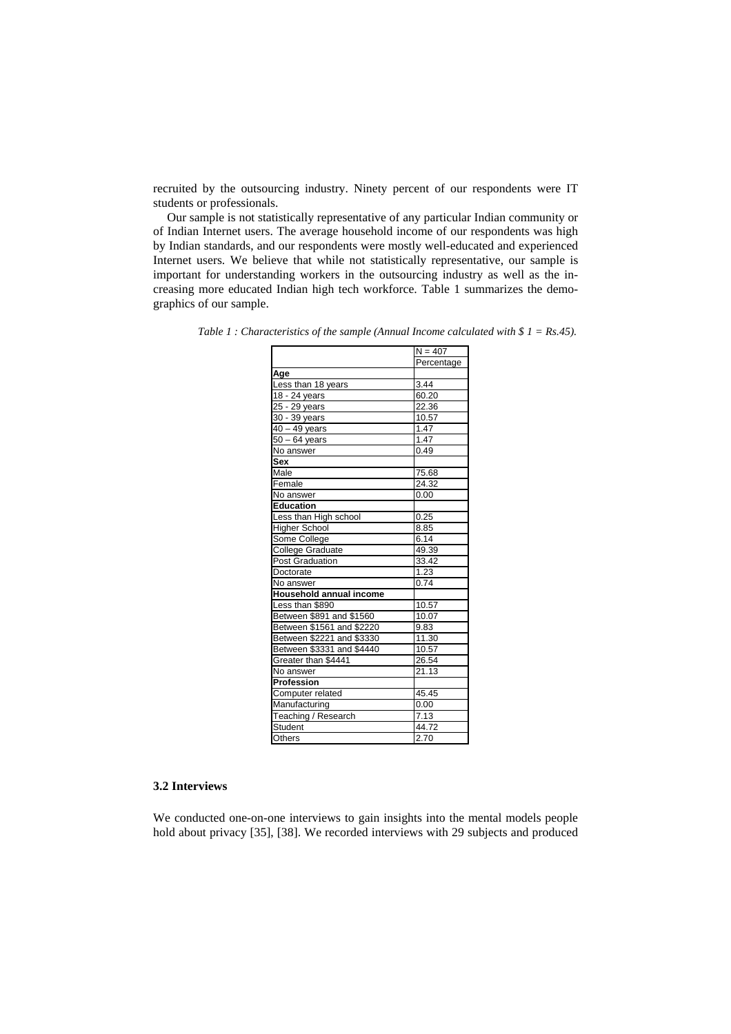recruited by the outsourcing industry. Ninety percent of our respondents were IT students or professionals.

Our sample is not statistically representative of any particular Indian community or of Indian Internet users. The average household income of our respondents was high by Indian standards, and our respondents were mostly well-educated and experienced Internet users. We believe that while not statistically representative, our sample is important for understanding workers in the outsourcing industry as well as the increasing more educated Indian high tech workforce. Table 1 summarizes the demographics of our sample.

| Percentage<br>Age<br>Less than 18 years<br>3.44<br>60.20<br>18 - 24 years<br>25 - 29 years<br>22.36<br>10.57<br>30 - 39 years<br>1.47<br>$40 - 49$ years<br>$50 - 64$ years<br>1.47<br>0.49<br>No answer<br><b>Sex</b><br>Male<br>75.68<br>Female<br>24.32<br>No answer<br>0.00<br><b>Education</b><br>0.25<br>Less than High school<br>Higher School<br>8.85<br>Some College<br>6.14<br>College Graduate<br>49.39<br>33.42<br><b>Post Graduation</b><br>Doctorate<br>1.23<br>0.74<br>No answer<br>Household annual income<br>Less than \$890<br>10.57<br>Between \$891 and \$1560<br>10.07<br>Between \$1561 and \$2220<br>9.83<br>Between \$2221 and \$3330<br>11.30<br>Between \$3331 and \$4440<br>10.57 |  |  |
|--------------------------------------------------------------------------------------------------------------------------------------------------------------------------------------------------------------------------------------------------------------------------------------------------------------------------------------------------------------------------------------------------------------------------------------------------------------------------------------------------------------------------------------------------------------------------------------------------------------------------------------------------------------------------------------------------------------|--|--|
|                                                                                                                                                                                                                                                                                                                                                                                                                                                                                                                                                                                                                                                                                                              |  |  |
|                                                                                                                                                                                                                                                                                                                                                                                                                                                                                                                                                                                                                                                                                                              |  |  |
|                                                                                                                                                                                                                                                                                                                                                                                                                                                                                                                                                                                                                                                                                                              |  |  |
|                                                                                                                                                                                                                                                                                                                                                                                                                                                                                                                                                                                                                                                                                                              |  |  |
|                                                                                                                                                                                                                                                                                                                                                                                                                                                                                                                                                                                                                                                                                                              |  |  |
|                                                                                                                                                                                                                                                                                                                                                                                                                                                                                                                                                                                                                                                                                                              |  |  |
|                                                                                                                                                                                                                                                                                                                                                                                                                                                                                                                                                                                                                                                                                                              |  |  |
|                                                                                                                                                                                                                                                                                                                                                                                                                                                                                                                                                                                                                                                                                                              |  |  |
|                                                                                                                                                                                                                                                                                                                                                                                                                                                                                                                                                                                                                                                                                                              |  |  |
|                                                                                                                                                                                                                                                                                                                                                                                                                                                                                                                                                                                                                                                                                                              |  |  |
|                                                                                                                                                                                                                                                                                                                                                                                                                                                                                                                                                                                                                                                                                                              |  |  |
|                                                                                                                                                                                                                                                                                                                                                                                                                                                                                                                                                                                                                                                                                                              |  |  |
|                                                                                                                                                                                                                                                                                                                                                                                                                                                                                                                                                                                                                                                                                                              |  |  |
|                                                                                                                                                                                                                                                                                                                                                                                                                                                                                                                                                                                                                                                                                                              |  |  |
|                                                                                                                                                                                                                                                                                                                                                                                                                                                                                                                                                                                                                                                                                                              |  |  |
|                                                                                                                                                                                                                                                                                                                                                                                                                                                                                                                                                                                                                                                                                                              |  |  |
|                                                                                                                                                                                                                                                                                                                                                                                                                                                                                                                                                                                                                                                                                                              |  |  |
|                                                                                                                                                                                                                                                                                                                                                                                                                                                                                                                                                                                                                                                                                                              |  |  |
|                                                                                                                                                                                                                                                                                                                                                                                                                                                                                                                                                                                                                                                                                                              |  |  |
|                                                                                                                                                                                                                                                                                                                                                                                                                                                                                                                                                                                                                                                                                                              |  |  |
|                                                                                                                                                                                                                                                                                                                                                                                                                                                                                                                                                                                                                                                                                                              |  |  |
|                                                                                                                                                                                                                                                                                                                                                                                                                                                                                                                                                                                                                                                                                                              |  |  |
|                                                                                                                                                                                                                                                                                                                                                                                                                                                                                                                                                                                                                                                                                                              |  |  |
|                                                                                                                                                                                                                                                                                                                                                                                                                                                                                                                                                                                                                                                                                                              |  |  |
|                                                                                                                                                                                                                                                                                                                                                                                                                                                                                                                                                                                                                                                                                                              |  |  |
|                                                                                                                                                                                                                                                                                                                                                                                                                                                                                                                                                                                                                                                                                                              |  |  |
|                                                                                                                                                                                                                                                                                                                                                                                                                                                                                                                                                                                                                                                                                                              |  |  |
| Greater than \$4441<br>26.54                                                                                                                                                                                                                                                                                                                                                                                                                                                                                                                                                                                                                                                                                 |  |  |
| $\overline{2}$ 1.13<br>No answer                                                                                                                                                                                                                                                                                                                                                                                                                                                                                                                                                                                                                                                                             |  |  |
| Profession                                                                                                                                                                                                                                                                                                                                                                                                                                                                                                                                                                                                                                                                                                   |  |  |
| Computer related<br>45.45                                                                                                                                                                                                                                                                                                                                                                                                                                                                                                                                                                                                                                                                                    |  |  |
| Manufacturing<br>0.00                                                                                                                                                                                                                                                                                                                                                                                                                                                                                                                                                                                                                                                                                        |  |  |
| Teaching / Research<br>7.13                                                                                                                                                                                                                                                                                                                                                                                                                                                                                                                                                                                                                                                                                  |  |  |
| Student<br>44.72                                                                                                                                                                                                                                                                                                                                                                                                                                                                                                                                                                                                                                                                                             |  |  |
| Others<br>2.70                                                                                                                                                                                                                                                                                                                                                                                                                                                                                                                                                                                                                                                                                               |  |  |

*Table 1 : Characteristics of the sample (Annual Income calculated with \$ 1 = Rs.45).* 

## **3.2 Interviews**

We conducted one-on-one interviews to gain insights into the mental models people hold about privacy [[35\]](#page-15-18), [[38\]](#page-16-11). We recorded interviews with 29 subjects and produced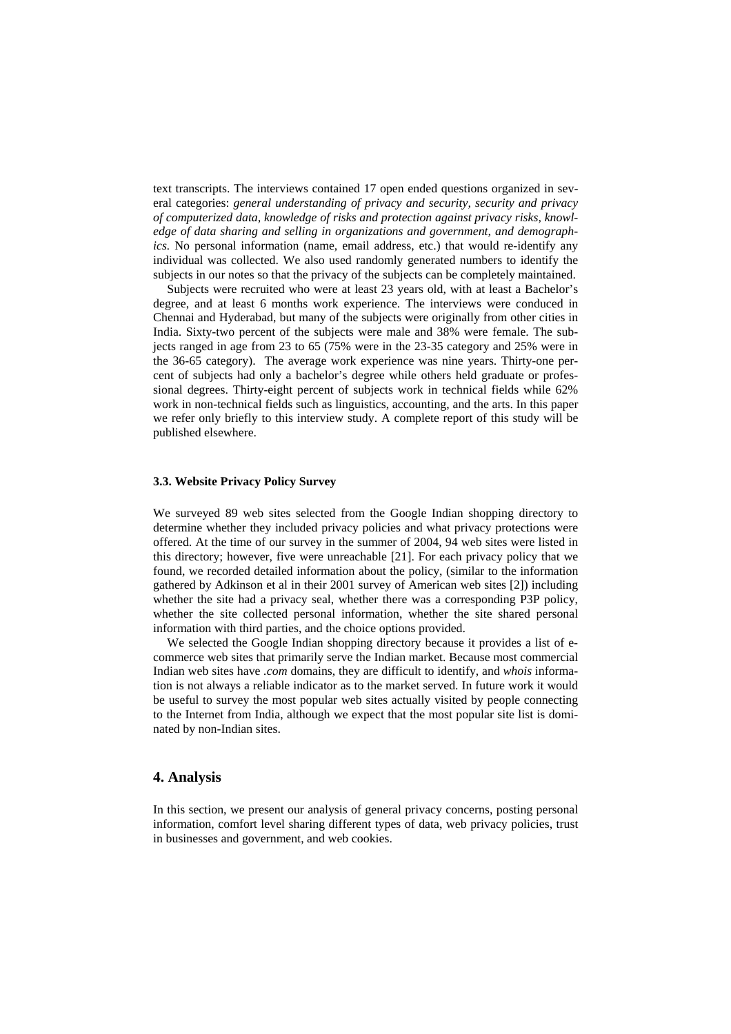text transcripts. The interviews contained 17 open ended questions organized in several categories: *general understanding of privacy and security, security and privacy of computerized data, knowledge of risks and protection against privacy risks, knowledge of data sharing and selling in organizations and government, and demographics.* No personal information (name, email address, etc.) that would re-identify any individual was collected. We also used randomly generated numbers to identify the subjects in our notes so that the privacy of the subjects can be completely maintained.

Subjects were recruited who were at least 23 years old, with at least a Bachelor's degree, and at least 6 months work experience. The interviews were conduced in Chennai and Hyderabad, but many of the subjects were originally from other cities in India. Sixty-two percent of the subjects were male and 38% were female. The subjects ranged in age from 23 to 65 (75% were in the 23-35 category and 25% were in the 36-65 category). The average work experience was nine years. Thirty-one percent of subjects had only a bachelor's degree while others held graduate or professional degrees. Thirty-eight percent of subjects work in technical fields while 62% work in non-technical fields such as linguistics, accounting, and the arts. In this paper we refer only briefly to this interview study. A complete report of this study will be published elsewhere.

### **3.3. Website Privacy Policy Survey**

We surveyed 89 web sites selected from the Google Indian shopping directory to determine whether they included privacy policies and what privacy protections were offered. At the time of our survey in the summer of 2004, 94 web sites were listed in this directory; however, five were unreachable [\[21\]](#page-15-19). For each privacy policy that we found, we recorded detailed information about the policy, (similar to the information gathered by Adkinson et al in their 2001 survey of American web sites [[2\]](#page-14-10)) including whether the site had a privacy seal, whether there was a corresponding P3P policy, whether the site collected personal information, whether the site shared personal information with third parties, and the choice options provided.

We selected the Google Indian shopping directory because it provides a list of ecommerce web sites that primarily serve the Indian market. Because most commercial Indian web sites have *.com* domains, they are difficult to identify, and *whois* information is not always a reliable indicator as to the market served. In future work it would be useful to survey the most popular web sites actually visited by people connecting to the Internet from India, although we expect that the most popular site list is dominated by non-Indian sites.

# **4. Analysis**

In this section, we present our analysis of general privacy concerns, posting personal information, comfort level sharing different types of data, web privacy policies, trust in businesses and government, and web cookies.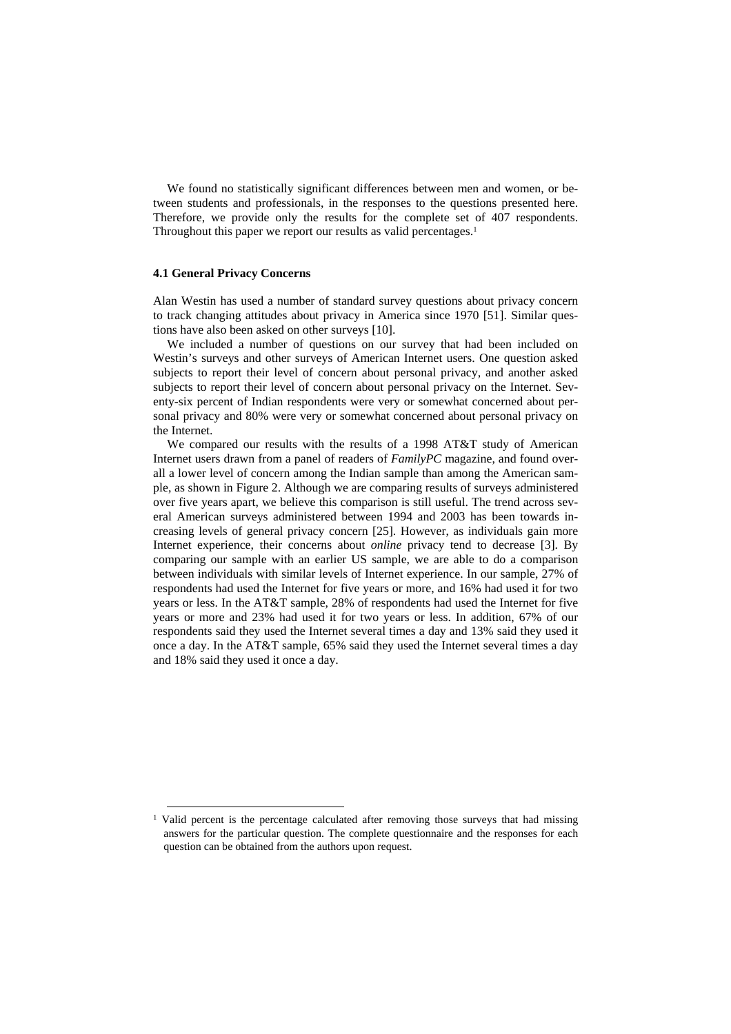We found no statistically significant differences between men and women, or between students and professionals, in the responses to the questions presented here. Therefore, we provide only the results for the complete set of 407 respondents. Throughout this paper we report our results as valid percentages.<sup>1</sup>

#### **4.1 General Privacy Concerns**

Alan Westin has used a number of standard survey questions about privacy concern to track changing attitudes about privacy in America since 1970 [\[51\]](#page-16-12). Similar questions have also been asked on other surveys [\[10\]](#page-14-8).

We included a number of questions on our survey that had been included on Westin's surveys and other surveys of American Internet users. One question asked subjects to report their level of concern about personal privacy, and another asked subjects to report their level of concern about personal privacy on the Internet. Seventy-six percent of Indian respondents were very or somewhat concerned about personal privacy and 80% were very or somewhat concerned about personal privacy on the Internet.

We compared our results with the results of a 1998 AT&T study of American Internet users drawn from a panel of readers of *FamilyPC* magazine, and found overall a lower level of concern among the Indian sample than among the American sample, as shown in Figure 2. Although we are comparing results of surveys administered over five years apart, we believe this comparison is still useful. The trend across several American surveys administered between 1994 and 2003 has been towards increasing levels of general privacy concern [[25\]](#page-15-16). However, as individuals gain more Internet experience, their concerns about *online* privacy tend to decrease [\[3\]](#page-14-5). By comparing our sample with an earlier US sample, we are able to do a comparison between individuals with similar levels of Internet experience. In our sample, 27% of respondents had used the Internet for five years or more, and 16% had used it for two years or less. In the AT&T sample, 28% of respondents had used the Internet for five years or more and 23% had used it for two years or less. In addition, 67% of our respondents said they used the Internet several times a day and 13% said they used it once a day. In the AT&T sample, 65% said they used the Internet several times a day and 18% said they used it once a day.

<span id="page-6-0"></span><sup>&</sup>lt;sup>1</sup> Valid percent is the percentage calculated after removing those surveys that had missing answers for the particular question. The complete questionnaire and the responses for each question can be obtained from the authors upon request.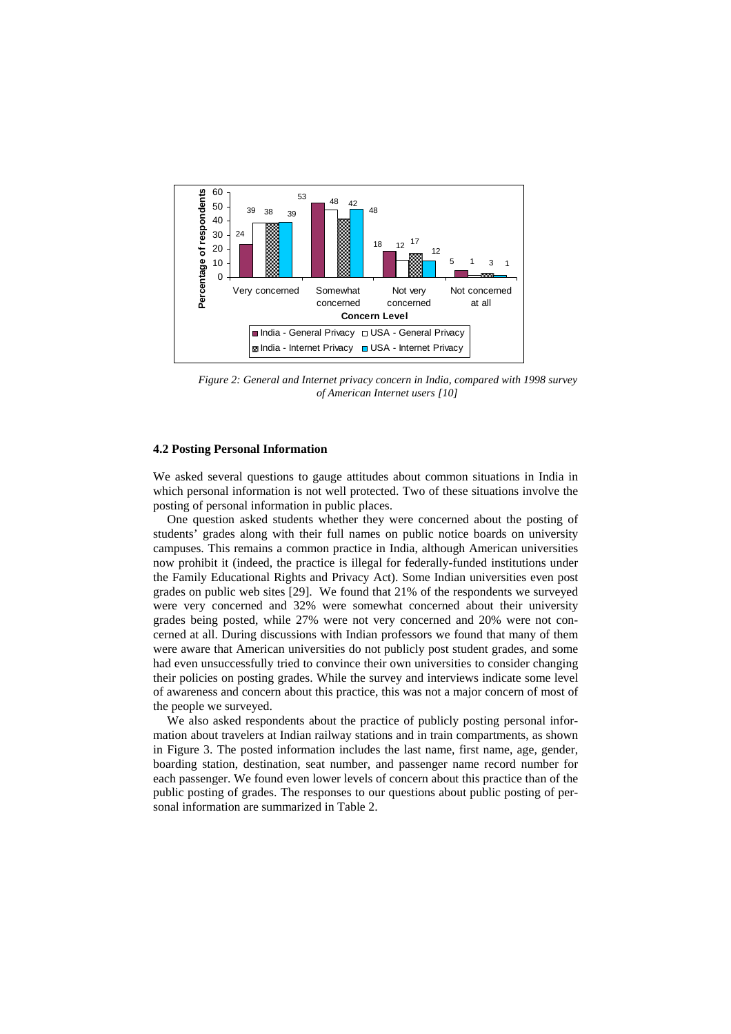

*Figure 2: General and Internet privacy concern in India, compared with 1998 survey of American Internet users [\[10\]](#page-14-8)* 

### **4.2 Posting Personal Information**

We asked several questions to gauge attitudes about common situations in India in which personal information is not well protected. Two of these situations involve the posting of personal information in public places.

One question asked students whether they were concerned about the posting of students' grades along with their full names on public notice boards on university campuses. This remains a common practice in India, although American universities now prohibit it (indeed, the practice is illegal for federally-funded institutions under the Family Educational Rights and Privacy Act). Some Indian universities even post grades on public web sites [[29\]](#page-15-20). We found that 21% of the respondents we surveyed were very concerned and 32% were somewhat concerned about their university grades being posted, while 27% were not very concerned and 20% were not concerned at all. During discussions with Indian professors we found that many of them were aware that American universities do not publicly post student grades, and some had even unsuccessfully tried to convince their own universities to consider changing their policies on posting grades. While the survey and interviews indicate some level of awareness and concern about this practice, this was not a major concern of most of the people we surveyed.

We also asked respondents about the practice of publicly posting personal information about travelers at Indian railway stations and in train compartments, as shown in Figure 3. The posted information includes the last name, first name, age, gender, boarding station, destination, seat number, and passenger name record number for each passenger. We found even lower levels of concern about this practice than of the public posting of grades. The responses to our questions about public posting of personal information are summarized in Table 2.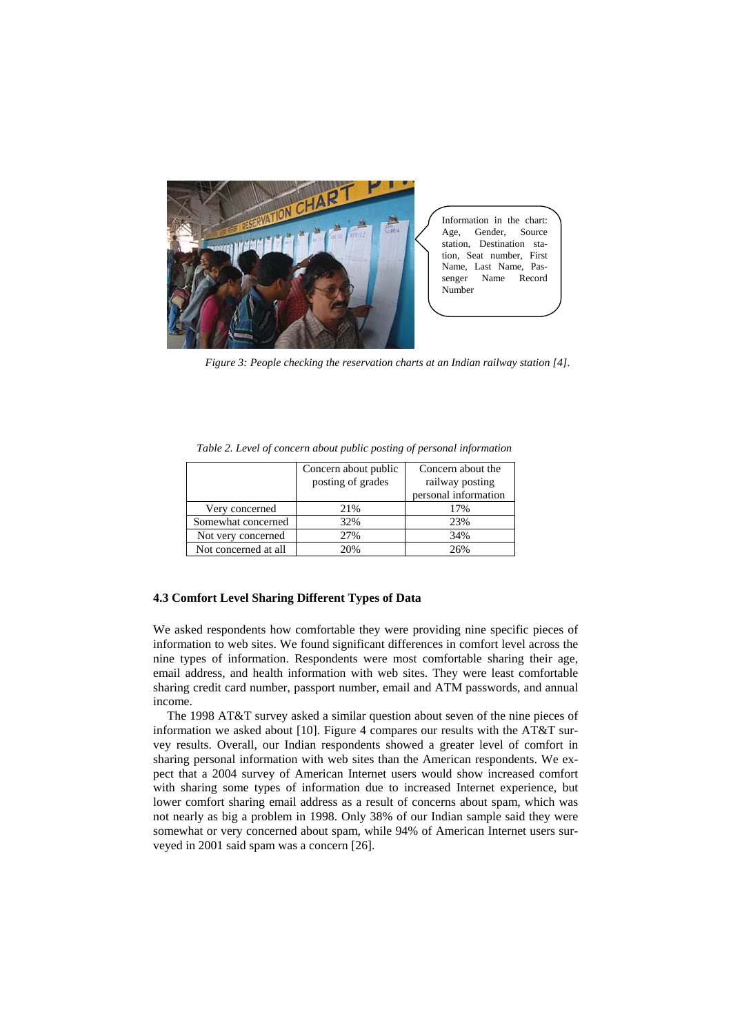

*Figure 3: People checking the reservation charts at an Indian railway station [\[4\]](#page-14-11)*.

|                      | Concern about public | Concern about the    |  |
|----------------------|----------------------|----------------------|--|
|                      | posting of grades    | railway posting      |  |
|                      |                      | personal information |  |
| Very concerned       | 21%                  | 17%                  |  |
| Somewhat concerned   | 32%                  | 23%                  |  |
| Not very concerned   | 27%                  | 34%                  |  |
| Not concerned at all | 20%                  | 26%                  |  |

*Table 2. Level of concern about public posting of personal information* 

## **4.3 Comfort Level Sharing Different Types of Data**

We asked respondents how comfortable they were providing nine specific pieces of information to web sites. We found significant differences in comfort level across the nine types of information. Respondents were most comfortable sharing their age, email address, and health information with web sites. They were least comfortable sharing credit card number, passport number, email and ATM passwords, and annual income.

The 1998 AT&T survey asked a similar question about seven of the nine pieces of information we asked about [[10\]](#page-14-8). Figure 4 compares our results with the AT&T survey results. Overall, our Indian respondents showed a greater level of comfort in sharing personal information with web sites than the American respondents. We expect that a 2004 survey of American Internet users would show increased comfort with sharing some types of information due to increased Internet experience, but lower comfort sharing email address as a result of concerns about spam, which was not nearly as big a problem in 1998. Only 38% of our Indian sample said they were somewhat or very concerned about spam, while 94% of American Internet users surveyed in 2001 said spam was a concern [\[26\]](#page-15-3).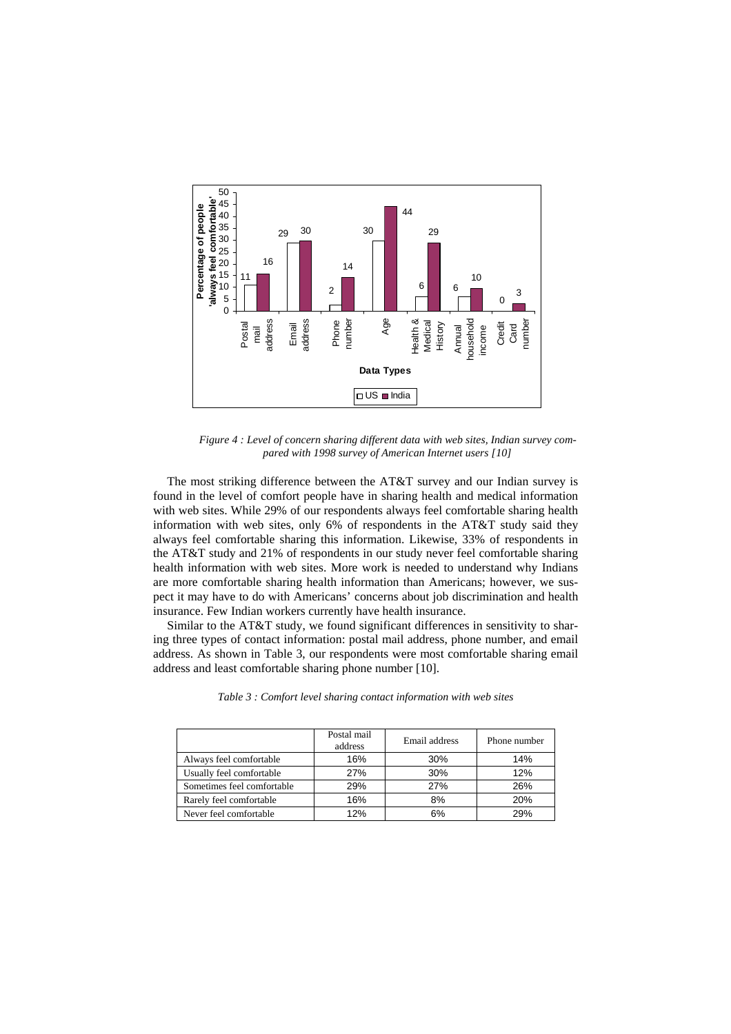

*Figure 4 : Level of concern sharing different data with web sites, Indian survey compared with 1998 survey of American Internet users [\[10\]](#page-14-8)*

The most striking difference between the AT&T survey and our Indian survey is found in the level of comfort people have in sharing health and medical information with web sites. While 29% of our respondents always feel comfortable sharing health information with web sites, only 6% of respondents in the AT&T study said they always feel comfortable sharing this information. Likewise, 33% of respondents in the AT&T study and 21% of respondents in our study never feel comfortable sharing health information with web sites. More work is needed to understand why Indians are more comfortable sharing health information than Americans; however, we suspect it may have to do with Americans' concerns about job discrimination and health insurance. Few Indian workers currently have health insurance.

Similar to the AT&T study, we found significant differences in sensitivity to sharing three types of contact information: postal mail address, phone number, and email address. As shown in Table 3, our respondents were most comfortable sharing email address and least comfortable sharing phone number [\[10\]](#page-14-8).

|                            | Postal mail<br>address | Email address | Phone number |
|----------------------------|------------------------|---------------|--------------|
| Always feel comfortable    | 16%                    | 30%           | 14%          |
| Usually feel comfortable   | 27%                    | 30%           | 12%          |
| Sometimes feel comfortable | 29%                    | 27%           | 26%          |
| Rarely feel comfortable    | 16%                    | 8%            | 20%          |
| Never feel comfortable     | 12%                    | 6%            | 29%          |

*Table 3 : Comfort level sharing contact information with web sites*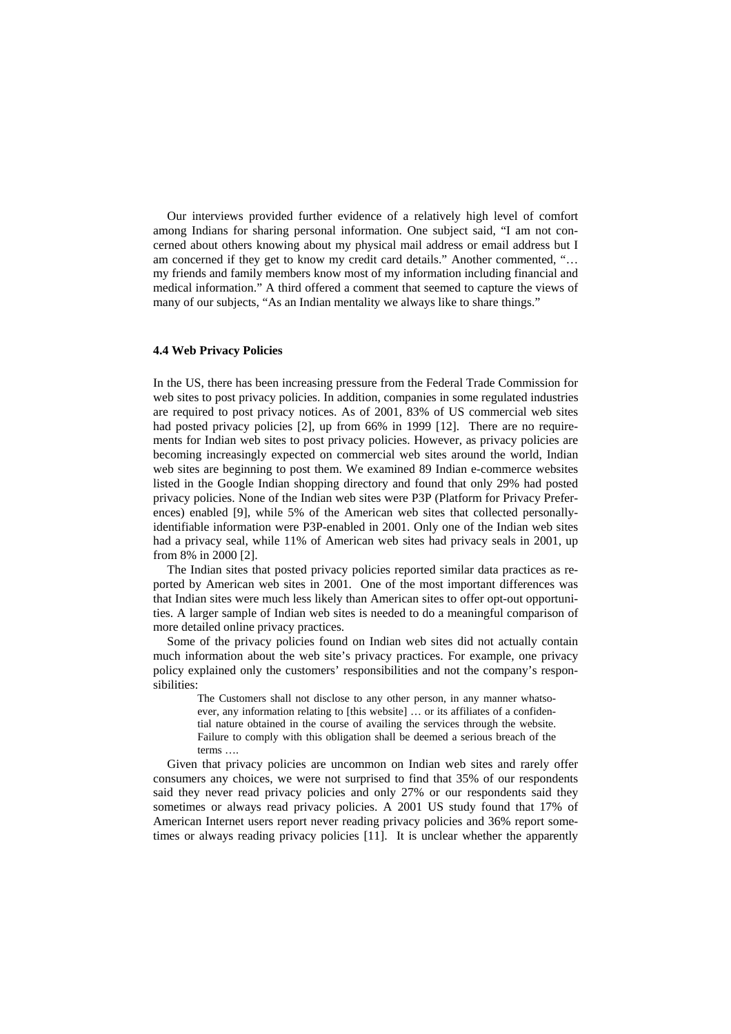Our interviews provided further evidence of a relatively high level of comfort among Indians for sharing personal information. One subject said, "I am not concerned about others knowing about my physical mail address or email address but I am concerned if they get to know my credit card details." Another commented, "… my friends and family members know most of my information including financial and medical information." A third offered a comment that seemed to capture the views of many of our subjects, "As an Indian mentality we always like to share things."

#### **4.4 Web Privacy Policies**

In the US, there has been increasing pressure from the Federal Trade Commission for web sites to post privacy policies. In addition, companies in some regulated industries are required to post privacy notices. As of 2001, 83% of US commercial web sites had posted privacy policies [\[2\]](#page-14-10), up from 66% in 1999 [\[12\]](#page-14-12). There are no requirements for Indian web sites to post privacy policies. However, as privacy policies are becoming increasingly expected on commercial web sites around the world, Indian web sites are beginning to post them. We examined 89 Indian e-commerce websites listed in the Google Indian shopping directory and found that only 29% had posted privacy policies. None of the Indian web sites were P3P (Platform for Privacy Preferences) enabled [\[9\]](#page-14-13), while 5% of the American web sites that collected personallyidentifiable information were P3P-enabled in 2001. Only one of the Indian web sites had a privacy seal, while 11% of American web sites had privacy seals in 2001, up from 8% in 2000 [[2\]](#page-14-10).

The Indian sites that posted privacy policies reported similar data practices as reported by American web sites in 2001. One of the most important differences was that Indian sites were much less likely than American sites to offer opt-out opportunities. A larger sample of Indian web sites is needed to do a meaningful comparison of more detailed online privacy practices.

Some of the privacy policies found on Indian web sites did not actually contain much information about the web site's privacy practices. For example, one privacy policy explained only the customers' responsibilities and not the company's responsibilities:

> The Customers shall not disclose to any other person, in any manner whatsoever, any information relating to [this website] … or its affiliates of a confidential nature obtained in the course of availing the services through the website. Failure to comply with this obligation shall be deemed a serious breach of the terms ….

Given that privacy policies are uncommon on Indian web sites and rarely offer consumers any choices, we were not surprised to find that 35% of our respondents said they never read privacy policies and only 27% or our respondents said they sometimes or always read privacy policies. A 2001 US study found that 17% of American Internet users report never reading privacy policies and 36% report sometimes or always reading privacy policies [\[11\]](#page-14-9). It is unclear whether the apparently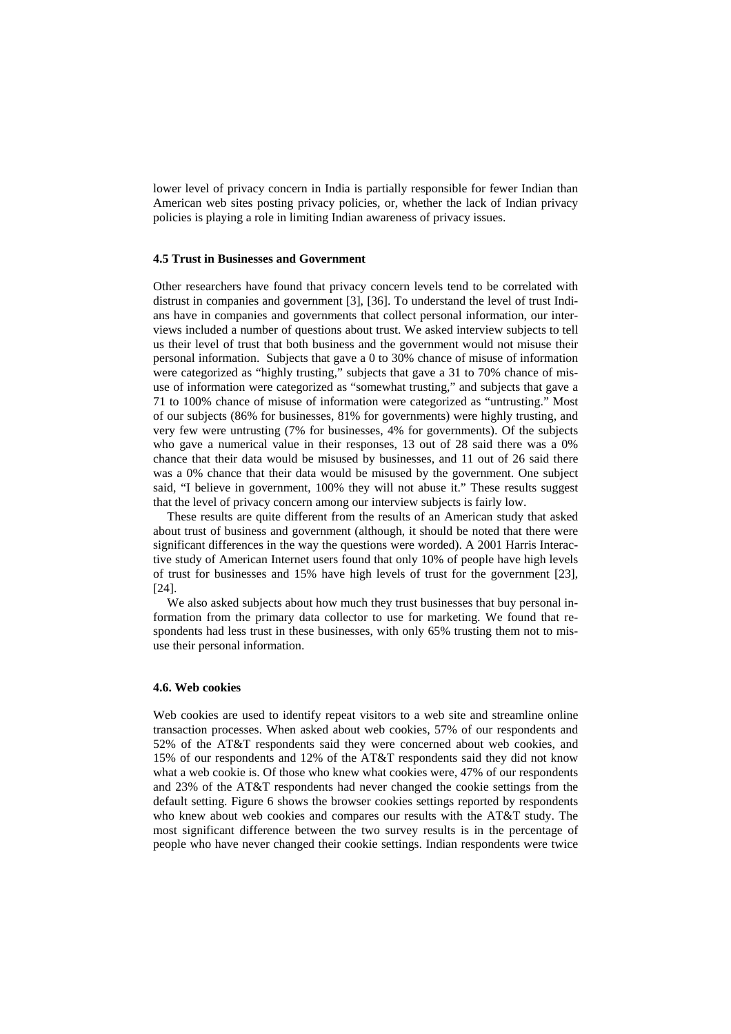lower level of privacy concern in India is partially responsible for fewer Indian than American web sites posting privacy policies, or, whether the lack of Indian privacy policies is playing a role in limiting Indian awareness of privacy issues.

#### **4.5 Trust in Businesses and Government**

Other researchers have found that privacy concern levels tend to be correlated with distrust in companies and government [\[3\]](#page-14-5), [\[36\]](#page-15-17). To understand the level of trust Indians have in companies and governments that collect personal information, our interviews included a number of questions about trust. We asked interview subjects to tell us their level of trust that both business and the government would not misuse their personal information. Subjects that gave a 0 to 30% chance of misuse of information were categorized as "highly trusting," subjects that gave a 31 to 70% chance of misuse of information were categorized as "somewhat trusting," and subjects that gave a 71 to 100% chance of misuse of information were categorized as "untrusting." Most of our subjects (86% for businesses, 81% for governments) were highly trusting, and very few were untrusting (7% for businesses, 4% for governments). Of the subjects who gave a numerical value in their responses, 13 out of 28 said there was a 0% chance that their data would be misused by businesses, and 11 out of 26 said there was a 0% chance that their data would be misused by the government. One subject said, "I believe in government, 100% they will not abuse it." These results suggest that the level of privacy concern among our interview subjects is fairly low.

These results are quite different from the results of an American study that asked about trust of business and government (although, it should be noted that there were significant differences in the way the questions were worded). A 2001 Harris Interactive study of American Internet users found that only 10% of people have high levels of trust for businesses and 15% have high levels of trust for the government [[23\]](#page-15-14), [\[24\]](#page-15-15).

We also asked subjects about how much they trust businesses that buy personal information from the primary data collector to use for marketing. We found that respondents had less trust in these businesses, with only 65% trusting them not to misuse their personal information.

#### **4.6. Web cookies**

Web cookies are used to identify repeat visitors to a web site and streamline online transaction processes. When asked about web cookies, 57% of our respondents and 52% of the AT&T respondents said they were concerned about web cookies, and 15% of our respondents and 12% of the AT&T respondents said they did not know what a web cookie is. Of those who knew what cookies were, 47% of our respondents and 23% of the AT&T respondents had never changed the cookie settings from the default setting. Figure 6 shows the browser cookies settings reported by respondents who knew about web cookies and compares our results with the AT&T study. The most significant difference between the two survey results is in the percentage of people who have never changed their cookie settings. Indian respondents were twice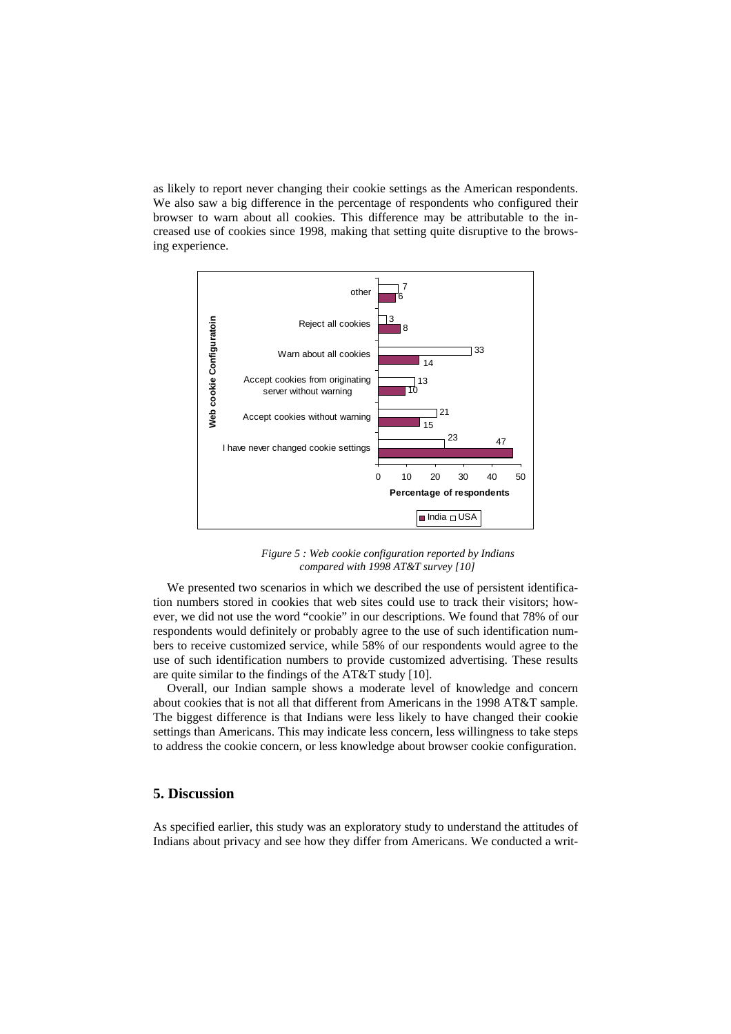as likely to report never changing their cookie settings as the American respondents. We also saw a big difference in the percentage of respondents who configured their browser to warn about all cookies. This difference may be attributable to the increased use of cookies since 1998, making that setting quite disruptive to the browsing experience.



*Figure 5 : Web cookie configuration reported by Indians compared with 1998 AT&T survey [10]* 

We presented two scenarios in which we described the us[e of](#page-14-8) persistent identification numbers stored in cookies that web sites could use to track their visitors; however, we did not use the word "cookie" in our descriptions. We found that 78% of our respondents would definitely or probably agree to the use of such identification numbers to receive customized service, while 58% of our respondents would agree to the use of such identification numbers to provide customized advertising. These results are quite similar to the findings of the AT&T study [[10\]](#page-14-8).

Overall, our Indian sample shows a moderate level of knowledge and concern about cookies that is not all that different from Americans in the 1998 AT&T sample. The biggest difference is that Indians were less likely to have changed their cookie settings than Americans. This may indicate less concern, less willingness to take steps to address the cookie concern, or less knowledge about browser cookie configuration.

## **5. Discussion**

As specified earlier, this study was an exploratory study to understand the attitudes of Indians about privacy and see how they differ from Americans. We conducted a writ-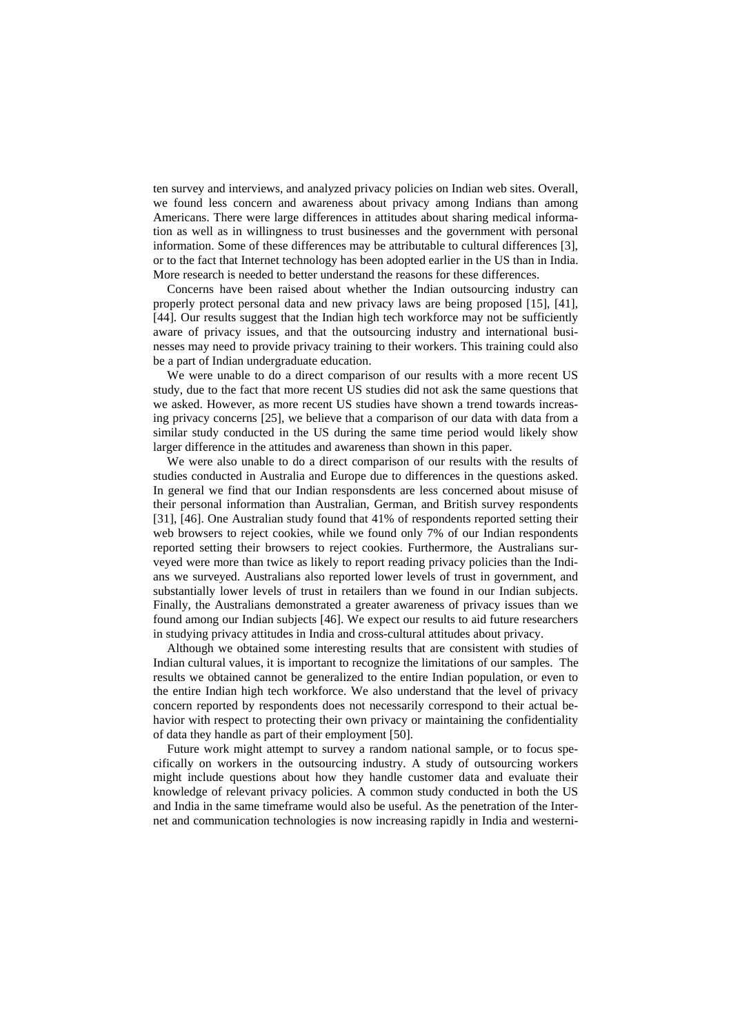ten survey and interviews, and analyzed privacy policies on Indian web sites. Overall, we found less concern and awareness about privacy among Indians than among Americans. There were large differences in attitudes about sharing medical information as well as in willingness to trust businesses and the government with personal information. Some of these differences may be attributable to cultural differences [[3\]](#page-14-5), or to the fact that Internet technology has been adopted earlier in the US than in India. More research is needed to better understand the reasons for these differences.

Concerns have been raised about whether the Indian outsourcing industry can properly protect personal data and new privacy laws are being proposed [[15\]](#page-15-1), [[41\]](#page-16-0), [\[44\]](#page-16-5). Our results suggest that the Indian high tech workforce may not be sufficiently aware of privacy issues, and that the outsourcing industry and international businesses may need to provide privacy training to their workers. This training could also be a part of Indian undergraduate education.

We were unable to do a direct comparison of our results with a more recent US study, due to the fact that more recent US studies did not ask the same questions that we asked. However, as more recent US studies have shown a trend towards increasing privacy concerns [[25\]](#page-15-16), we believe that a comparison of our data with data from a similar study conducted in the US during the same time period would likely show larger difference in the attitudes and awareness than shown in this paper.

We were also unable to do a direct comparison of our results with the results of studies conducted in Australia and Europe due to differences in the questions asked. In general we find that our Indian responsdents are less concerned about misuse of their personal information than Australian, German, and British survey respondents [\[31\]](#page-15-21), [\[46\]](#page-16-13). One Australian study found that 41% of respondents reported setting their web browsers to reject cookies, while we found only 7% of our Indian respondents reported setting their browsers to reject cookies. Furthermore, the Australians surveyed were more than twice as likely to report reading privacy policies than the Indians we surveyed. Australians also reported lower levels of trust in government, and substantially lower levels of trust in retailers than we found in our Indian subjects. Finally, the Australians demonstrated a greater awareness of privacy issues than we found among our Indian subjects [[46\]](#page-16-13). We expect our results to aid future researchers in studying privacy attitudes in India and cross-cultural attitudes about privacy.

Although we obtained some interesting results that are consistent with studies of Indian cultural values, it is important to recognize the limitations of our samples. The results we obtained cannot be generalized to the entire Indian population, or even to the entire Indian high tech workforce. We also understand that the level of privacy concern reported by respondents does not necessarily correspond to their actual behavior with respect to protecting their own privacy or maintaining the confidentiality of data they handle as part of their employment [\[50\]](#page-16-14).

Future work might attempt to survey a random national sample, or to focus specifically on workers in the outsourcing industry. A study of outsourcing workers might include questions about how they handle customer data and evaluate their knowledge of relevant privacy policies. A common study conducted in both the US and India in the same timeframe would also be useful. As the penetration of the Internet and communication technologies is now increasing rapidly in India and westerni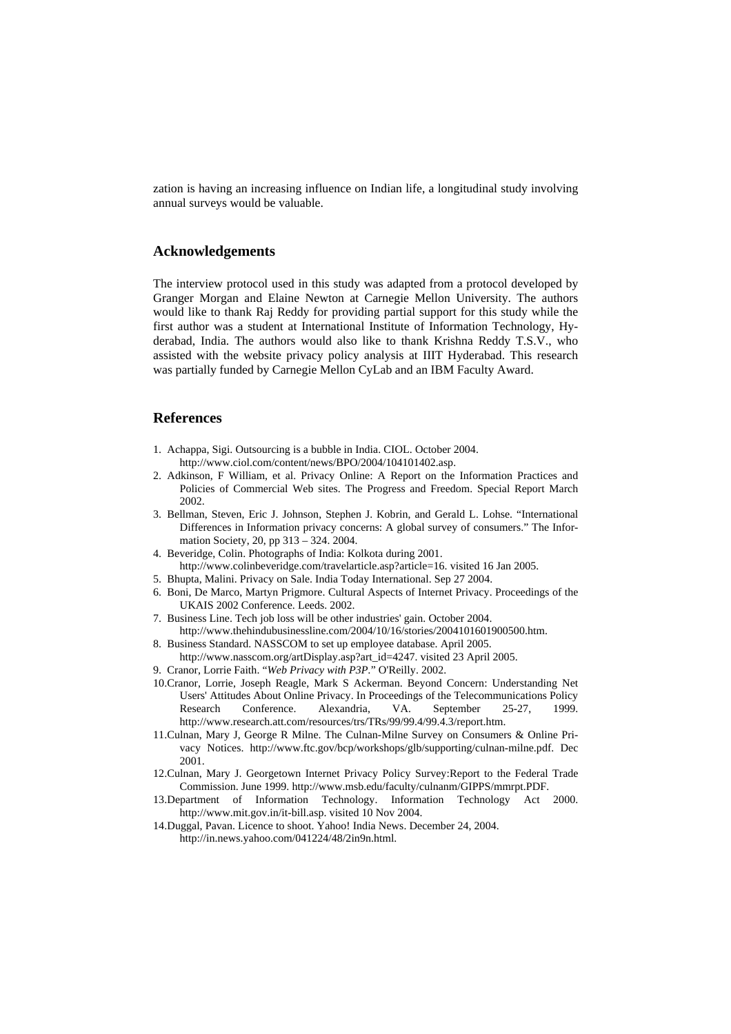zation is having an increasing influence on Indian life, a longitudinal study involving annual surveys would be valuable.

## **Acknowledgements**

The interview protocol used in this study was adapted from a protocol developed by Granger Morgan and Elaine Newton at Carnegie Mellon University. The authors would like to thank Raj Reddy for providing partial support for this study while the first author was a student at International Institute of Information Technology, Hyderabad, India. The authors would also like to thank Krishna Reddy T.S.V., who assisted with the website privacy policy analysis at IIIT Hyderabad. This research was partially funded by Carnegie Mellon CyLab and an IBM Faculty Award.

## **References**

- <span id="page-14-0"></span>1. Achappa, Sigi. Outsourcing is a bubble in India. CIOL. October 2004.
- http://www.ciol.com/content/news/BPO/2004/104101402.asp.
- <span id="page-14-10"></span>2. Adkinson, F William, et al. Privacy Online: A Report on the Information Practices and Policies of Commercial Web sites. The Progress and Freedom. Special Report March 2002.
- <span id="page-14-5"></span>3. Bellman, Steven, Eric J. Johnson, Stephen J. Kobrin, and Gerald L. Lohse. "International Differences in Information privacy concerns: A global survey of consumers." The Information Society, 20, pp 313 – 324. 2004.
- <span id="page-14-11"></span>4. Beveridge, Colin. Photographs of India: Kolkota during 2001.
- http://www.colinbeveridge.com/travelarticle.asp?article=16. visited 16 Jan 2005. 5. Bhupta, Malini. Privacy on Sale. India Today International. Sep 27 2004.
- <span id="page-14-7"></span><span id="page-14-6"></span>6. Boni, De Marco, Martyn Prigmore. Cultural Aspects of Internet Privacy. Proceedings of the UKAIS 2002 Conference. Leeds. 2002.
- <span id="page-14-1"></span>7. Business Line. Tech job loss will be other industries' gain. October 2004. http://www.thehindubusinessline.com/2004/10/16/stories/2004101601900500.htm.
- <span id="page-14-4"></span>8. Business Standard. NASSCOM to set up employee database. April 2005. http://www.nasscom.org/artDisplay.asp?art\_id=4247. visited 23 April 2005.
- <span id="page-14-13"></span>9. Cranor, Lorrie Faith. "*Web Privacy with P3P.*" O'Reilly. 2002.
- <span id="page-14-8"></span>10.Cranor, Lorrie, Joseph Reagle, Mark S Ackerman. Beyond Concern: Understanding Net Users' Attitudes About Online Privacy. In Proceedings of the Telecommunications Policy Research Conference. Alexandria, VA. September 25-27, 1999. http://www.research.att.com/resources/trs/TRs/99/99.4/99.4.3/report.htm.
- <span id="page-14-9"></span>11.Culnan, Mary J, George R Milne. The Culnan-Milne Survey on Consumers & Online Privacy Notices. http://www.ftc.gov/bcp/workshops/glb/supporting/culnan-milne.pdf. Dec 2001.
- <span id="page-14-12"></span>12.Culnan, Mary J. Georgetown Internet Privacy Policy Survey:Report to the Federal Trade Commission. June 1999. http://www.msb.edu/faculty/culnanm/GIPPS/mmrpt.PDF.
- <span id="page-14-2"></span>13.Department of Information Technology. Information Technology Act 2000. http://www.mit.gov.in/it-bill.asp. visited 10 Nov 2004.
- <span id="page-14-3"></span>14.Duggal, Pavan. Licence to shoot. Yahoo! India News. December 24, 2004. http://in.news.yahoo.com/041224/48/2in9n.html.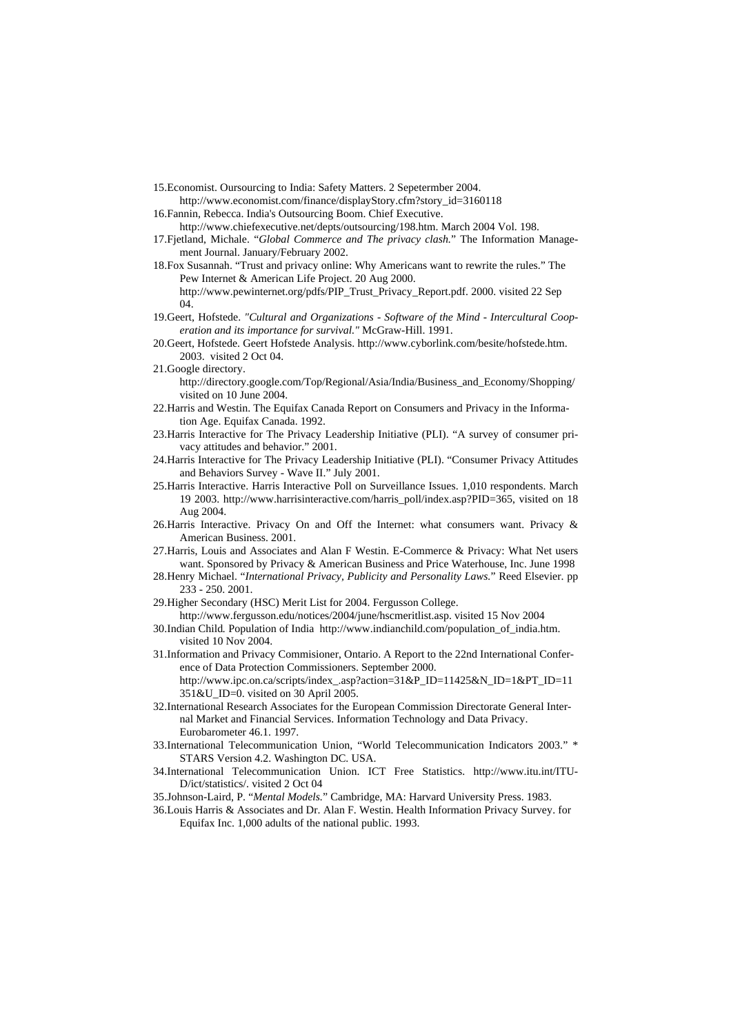- <span id="page-15-1"></span>15.Economist. Oursourcing to India: Safety Matters. 2 Sepetermber 2004.
- http://www.economist.com/finance/displayStory.cfm?story\_id=3160118 16.Fannin, Rebecca. India's Outsourcing Boom. Chief Executive.
- <span id="page-15-0"></span>http://www.chiefexecutive.net/depts/outsourcing/198.htm. March 2004 Vol. 198.
- <span id="page-15-10"></span>17.Fjetland, Michale. "*Global Commerce and The privacy clash.*" The Information Management Journal. January/February 2002.
- <span id="page-15-13"></span>18.Fox Susannah. "Trust and privacy online: Why Americans want to rewrite the rules." The Pew Internet & American Life Project. 20 Aug 2000. http://www.pewinternet.org/pdfs/PIP\_Trust\_Privacy\_Report.pdf. 2000. visited 22 Sep 04.
- <span id="page-15-11"></span>19.Geert, Hofstede. *"Cultural and Organizations - Software of the Mind - Intercultural Cooperation and its importance for survival."* McGraw-Hill. 1991.
- <span id="page-15-12"></span>20.Geert, Hofstede. Geert Hofstede Analysis. http://www.cyborlink.com/besite/hofstede.htm. 2003. visited 2 Oct 04.
- <span id="page-15-19"></span>21.Google directory.
	- http://directory.google.com/Top/Regional/Asia/India/Business\_and\_Economy/Shopping/ visited on 10 June 2004.
- <span id="page-15-2"></span>22.Harris and Westin. The Equifax Canada Report on Consumers and Privacy in the Information Age. Equifax Canada. 1992.
- <span id="page-15-14"></span>23.Harris Interactive for The Privacy Leadership Initiative (PLI). "A survey of consumer privacy attitudes and behavior." 2001.
- <span id="page-15-15"></span>24.Harris Interactive for The Privacy Leadership Initiative (PLI). "Consumer Privacy Attitudes and Behaviors Survey - Wave II." July 2001.
- <span id="page-15-16"></span>25.Harris Interactive. Harris Interactive Poll on Surveillance Issues. 1,010 respondents. March 19 2003. http://www.harrisinteractive.com/harris\_poll/index.asp?PID=365, visited on 18 Aug 2004.
- <span id="page-15-3"></span>26.Harris Interactive. Privacy On and Off the Internet: what consumers want. Privacy & American Business. 2001.
- <span id="page-15-4"></span>27.Harris, Louis and Associates and Alan F Westin. E-Commerce & Privacy: What Net users want. Sponsored by Privacy & American Business and Price Waterhouse, Inc. June 1998
- <span id="page-15-9"></span>28.Henry Michael. "*International Privacy, Publicity and Personality Laws.*" Reed Elsevier. pp 233 - 250. 2001.
- <span id="page-15-20"></span>29.Higher Secondary (HSC) Merit List for 2004. Fergusson College.
- http://www.fergusson.edu/notices/2004/june/hscmeritlist.asp. visited 15 Nov 2004
- <span id="page-15-6"></span>30.Indian Child*.* Population of India http://www.indianchild.com/population\_of\_india.htm. visited 10 Nov 2004.
- <span id="page-15-21"></span>31.Information and Privacy Commisioner, Ontario. A Report to the 22nd International Conference of Data Protection Commissioners. September 2000. http://www.ipc.on.ca/scripts/index\_.asp?action=31&P\_ID=11425&N\_ID=1&PT\_ID=11

351&U\_ID=0. visited on 30 April 2005.

- <span id="page-15-5"></span>32.International Research Associates for the European Commission Directorate General Internal Market and Financial Services. Information Technology and Data Privacy. Eurobarometer 46.1. 1997.
- <span id="page-15-7"></span>33.International Telecommunication Union, "World Telecommunication Indicators 2003." \* STARS Version 4.2. Washington DC. USA.
- <span id="page-15-8"></span>34.International Telecommunication Union. ICT Free Statistics. http://www.itu.int/ITU-D/ict/statistics/. visited 2 Oct 04
- <span id="page-15-18"></span>35.Johnson-Laird, P. "*Mental Models.*" Cambridge, MA: Harvard University Press. 1983.
- <span id="page-15-17"></span>36.Louis Harris & Associates and Dr. Alan F. Westin. Health Information Privacy Survey. for Equifax Inc. 1,000 adults of the national public. 1993.